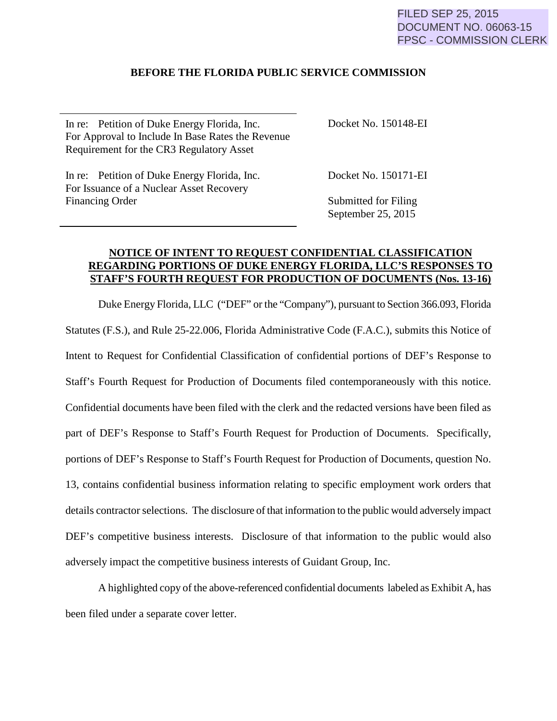### FILED SEP 25, 2015 DOCUMENT NO. 06063-15 FPSC - COMMISSION CLERK

### **BEFORE THE FLORIDA PUBLIC SERVICE COMMISSION**

| In re: Petition of Duke Energy Florida, Inc.      | Docket No. 150148-EI |
|---------------------------------------------------|----------------------|
| For Approval to Include In Base Rates the Revenue |                      |
| Requirement for the CR3 Regulatory Asset          |                      |
| $\sim$ $\sim$ $\sim$ $\sim$                       | . <i>.</i>           |

In re: Petition of Duke Energy Florida, Inc. For Issuance of a Nuclear Asset Recovery Financing Order

Docket No. 150171-EI

Submitted for Filing September 25, 2015

### **NOTICE OF INTENT TO REQUEST CONFIDENTIAL CLASSIFICATION REGARDING PORTIONS OF DUKE ENERGY FLORIDA, LLC'S RESPONSES TO STAFF'S FOURTH REQUEST FOR PRODUCTION OF DOCUMENTS (Nos. 13-16)**

Duke Energy Florida, LLC ("DEF" or the "Company"), pursuant to Section 366.093, Florida Statutes (F.S.), and Rule 25-22.006, Florida Administrative Code (F.A.C.), submits this Notice of Intent to Request for Confidential Classification of confidential portions of DEF's Response to Staff's Fourth Request for Production of Documents filed contemporaneously with this notice. Confidential documents have been filed with the clerk and the redacted versions have been filed as part of DEF's Response to Staff's Fourth Request for Production of Documents. Specifically, portions of DEF's Response to Staff's Fourth Request for Production of Documents, question No. 13, contains confidential business information relating to specific employment work orders that details contractor selections. The disclosure of that information to the public would adversely impact DEF's competitive business interests. Disclosure of that information to the public would also adversely impact the competitive business interests of Guidant Group, Inc.

A highlighted copy of the above-referenced confidential documents labeled as Exhibit A, has been filed under a separate cover letter.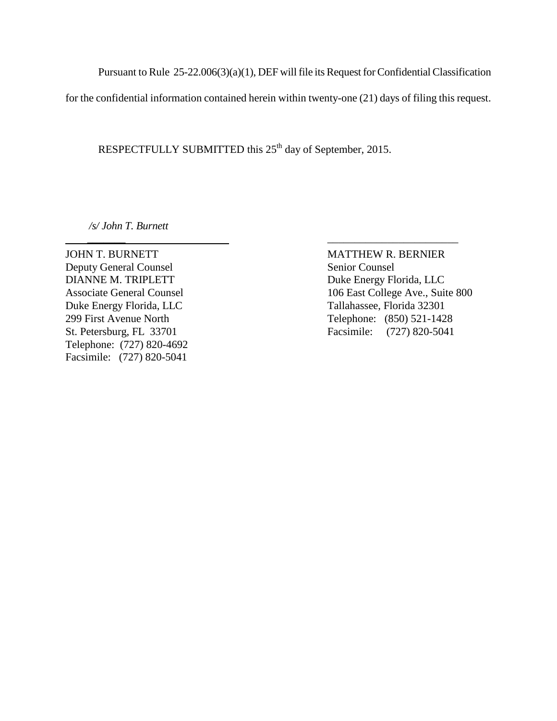Pursuant to Rule 25-22.006(3)(a)(1), DEF will file its Request for Confidential Classification

for the confidential information contained herein within twenty-one (21) days of filing this request.

RESPECTFULLY SUBMITTED this 25<sup>th</sup> day of September, 2015.

 *\_\_\_\_\_\_\_* \_\_\_\_\_\_\_\_\_\_\_\_\_\_\_\_\_\_\_\_\_\_\_\_

*/s/ John T. Burnett*

JOHN T. BURNETT MATTHEW R. BERNIER Deputy General Counsel Senior Counsel DIANNE M. TRIPLETT Duke Energy Florida, LLC Duke Energy Florida, LLC Tallahassee, Florida 32301 Telephone: (727) 820-4692 Facsimile: (727) 820-5041

Associate General Counsel 106 East College Ave., Suite 800 299 First Avenue North Telephone: (850) 521-1428<br>St. Petersburg, FL 33701 Facsimile: (727) 820-5041 Facsimile: (727) 820-5041